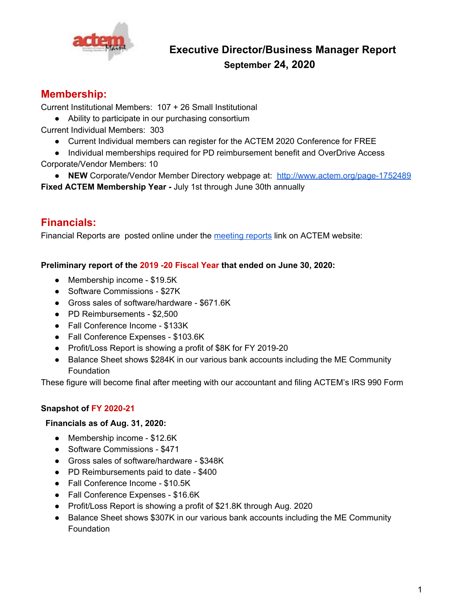

# **Executive Director/Business Manager Report September 24, 2020**

## **Membership:**

Current Institutional Members: 107 + 26 Small Institutional

- Ability to participate in our purchasing consortium
- Current Individual Members: 303
	- Current Individual members can register for the ACTEM 2020 Conference for FREE
- Individual memberships required for PD reimbursement benefit and OverDrive Access Corporate/Vendor Members: 10
- **NEW** Corporate/Vendor Member Directory webpage at: <http://www.actem.org/page-1752489> **Fixed ACTEM Membership Year -** July 1st through June 30th annually

# **Financials:**

Financial Reports are posted online under the [meeting](http://www.actem.org/page-1752531) reports link on ACTEM website:

**Preliminary report of the 2019 -20 Fiscal Year that ended on June 30, 2020:**

- Membership income \$19.5K
- Software Commissions \$27K
- Gross sales of software/hardware \$671.6K
- PD Reimbursements \$2,500
- Fall Conference Income \$133K
- Fall Conference Expenses \$103.6K
- Profit/Loss Report is showing a profit of \$8K for FY 2019-20
- Balance Sheet shows \$284K in our various bank accounts including the ME Community Foundation

These figure will become final after meeting with our accountant and filing ACTEM's IRS 990 Form

## **Snapshot of FY 2020-21**

## **Financials as of Aug. 31, 2020:**

- Membership income \$12.6K
- Software Commissions \$471
- Gross sales of software/hardware \$348K
- PD Reimbursements paid to date \$400
- Fall Conference Income \$10.5K
- Fall Conference Expenses \$16.6K
- Profit/Loss Report is showing a profit of \$21.8K through Aug. 2020
- Balance Sheet shows \$307K in our various bank accounts including the ME Community **Foundation**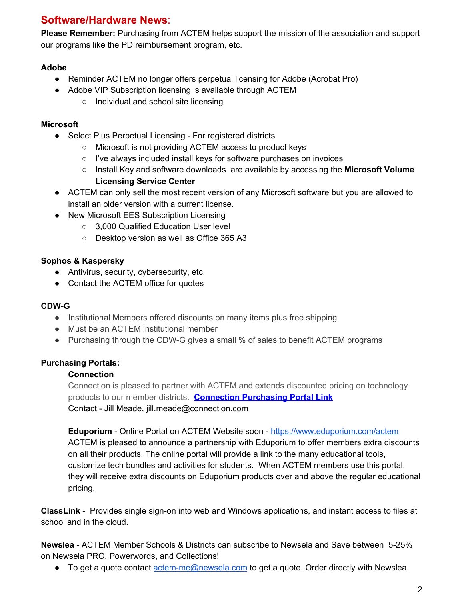## **Software/Hardware News**:

**Please Remember:** Purchasing from ACTEM helps support the mission of the association and support our programs like the PD reimbursement program, etc.

## **Adobe**

- Reminder ACTEM no longer offers perpetual licensing for Adobe (Acrobat Pro)
- Adobe VIP Subscription licensing is available through ACTEM
	- Individual and school site licensing

## **Microsoft**

- Select Plus Perpetual Licensing For registered districts
	- Microsoft is not providing ACTEM access to product keys
	- I've always included install keys for software purchases on invoices
	- Install Key and software downloads are available by accessing the **Microsoft Volume Licensing Service Center**
- ACTEM can only sell the most recent version of any Microsoft software but you are allowed to install an older version with a current license.
- New Microsoft EES Subscription Licensing
	- 3,000 Qualified Education User level
	- Desktop version as well as Office 365 A3

## **Sophos & Kaspersky**

- Antivirus, security, cybersecurity, etc.
- Contact the ACTEM office for quotes

## **CDW-G**

- Institutional Members offered discounts on many items plus free shipping
- Must be an ACTEM institutional member
- Purchasing through the CDW-G gives a small % of sales to benefit ACTEM programs

## **Purchasing Portals:**

## **Connection**

Connection is pleased to partner with ACTEM and extends discounted pricing on technology products to our member districts. **[Connection](http://www.govconnection.com/actem) Purchasing Portal Link** Contact - Jill Meade, jill.meade@connection.com

**Eduporium** - Online Portal on ACTEM Website soon - <https://www.eduporium.com/actem> ACTEM is pleased to announce a partnership with Eduporium to offer members extra discounts on all their products. The online portal will provide a link to the many educational tools, customize tech bundles and activities for students. When ACTEM members use this portal, they will receive extra discounts on Eduporium products over and above the regular educational pricing.

**ClassLink** - Provides single sign-on into web and Windows applications, and instant access to files at school and in the cloud.

**Newslea** - ACTEM Member Schools & Districts can subscribe to Newsela and Save between 5-25% on Newsela PRO, Powerwords, and Collections!

 $\bullet$  To get a quote contact [actem-me@newsela.com](mailto:actem-me@newsela.com) to get a quote. Order directly with Newslea.